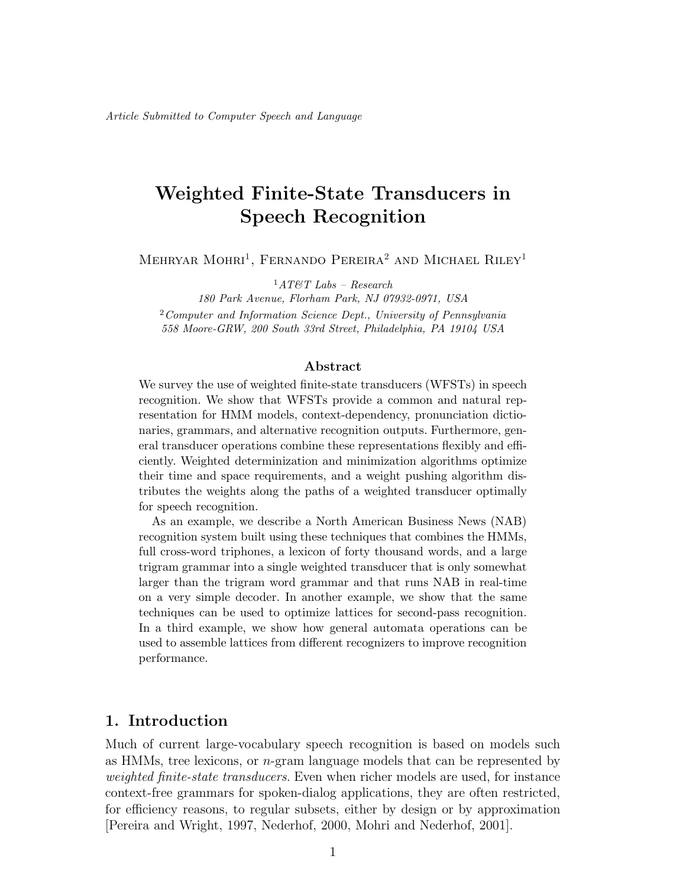# Weighted Finite-State Transducers in Speech Recognition

Mehryar Mohri<sup>1</sup>, Fernando Pereira<sup>2</sup> and Michael Riley<sup>1</sup>

 $1 A T \mathcal{C} T$  Labs – Research

180 Park Avenue, Florham Park, NJ 07932-0971, USA  $2$ Computer and Information Science Dept., University of Pennsylvania 558 Moore-GRW, 200 South 33rd Street, Philadelphia, PA 19104 USA

#### Abstract

We survey the use of weighted finite-state transducers (WFSTs) in speech recognition. We show that WFSTs provide a common and natural representation for HMM models, context-dependency, pronunciation dictionaries, grammars, and alternative recognition outputs. Furthermore, general transducer operations combine these representations flexibly and efficiently. Weighted determinization and minimization algorithms optimize their time and space requirements, and a weight pushing algorithm distributes the weights along the paths of a weighted transducer optimally for speech recognition.

As an example, we describe a North American Business News (NAB) recognition system built using these techniques that combines the HMMs, full cross-word triphones, a lexicon of forty thousand words, and a large trigram grammar into a single weighted transducer that is only somewhat larger than the trigram word grammar and that runs NAB in real-time on a very simple decoder. In another example, we show that the same techniques can be used to optimize lattices for second-pass recognition. In a third example, we show how general automata operations can be used to assemble lattices from different recognizers to improve recognition performance.

# 1. Introduction

Much of current large-vocabulary speech recognition is based on models such as HMMs, tree lexicons, or n-gram language models that can be represented by weighted finite-state transducers. Even when richer models are used, for instance context-free grammars for spoken-dialog applications, they are often restricted, for efficiency reasons, to regular subsets, either by design or by approximation [Pereira and Wright, 1997, Nederhof, 2000, Mohri and Nederhof, 2001].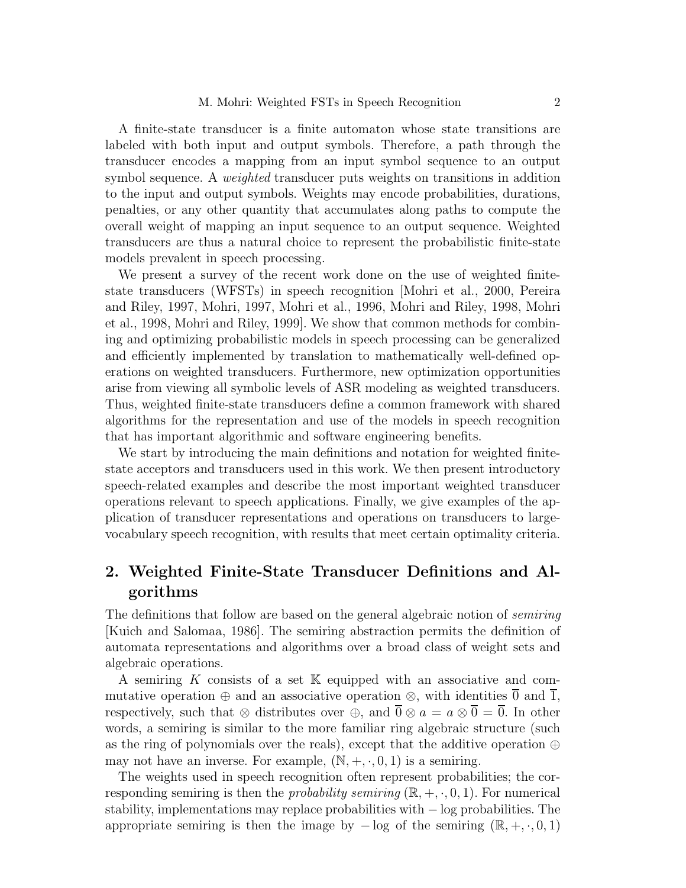A finite-state transducer is a finite automaton whose state transitions are labeled with both input and output symbols. Therefore, a path through the transducer encodes a mapping from an input symbol sequence to an output symbol sequence. A *weighted* transducer puts weights on transitions in addition to the input and output symbols. Weights may encode probabilities, durations, penalties, or any other quantity that accumulates along paths to compute the overall weight of mapping an input sequence to an output sequence. Weighted transducers are thus a natural choice to represent the probabilistic finite-state models prevalent in speech processing.

We present a survey of the recent work done on the use of weighted finitestate transducers (WFSTs) in speech recognition [Mohri et al., 2000, Pereira and Riley, 1997, Mohri, 1997, Mohri et al., 1996, Mohri and Riley, 1998, Mohri et al., 1998, Mohri and Riley, 1999]. We show that common methods for combining and optimizing probabilistic models in speech processing can be generalized and efficiently implemented by translation to mathematically well-defined operations on weighted transducers. Furthermore, new optimization opportunities arise from viewing all symbolic levels of ASR modeling as weighted transducers. Thus, weighted finite-state transducers define a common framework with shared algorithms for the representation and use of the models in speech recognition that has important algorithmic and software engineering benefits.

We start by introducing the main definitions and notation for weighted finitestate acceptors and transducers used in this work. We then present introductory speech-related examples and describe the most important weighted transducer operations relevant to speech applications. Finally, we give examples of the application of transducer representations and operations on transducers to largevocabulary speech recognition, with results that meet certain optimality criteria.

# 2. Weighted Finite-State Transducer Definitions and Algorithms

The definitions that follow are based on the general algebraic notion of *semiring* [Kuich and Salomaa, 1986]. The semiring abstraction permits the definition of automata representations and algorithms over a broad class of weight sets and algebraic operations.

A semiring K consists of a set  $\mathbb K$  equipped with an associative and commutative operation  $\oplus$  and an associative operation  $\otimes$ , with identities  $\overline{0}$  and  $\overline{1}$ , respectively, such that ⊗ distributes over  $\oplus$ , and  $\overline{0} \otimes a = a \otimes \overline{0} = \overline{0}$ . In other words, a semiring is similar to the more familiar ring algebraic structure (such as the ring of polynomials over the reals), except that the additive operation  $\oplus$ may not have an inverse. For example,  $(N, +, \cdot, 0, 1)$  is a semiring.

The weights used in speech recognition often represent probabilities; the corresponding semiring is then the *probability semiring* ( $\mathbb{R}, +, \cdot, 0, 1$ ). For numerical stability, implementations may replace probabilities with − log probabilities. The appropriate semiring is then the image by  $-\log$  of the semiring  $(\mathbb{R}, +, \cdot, 0, 1)$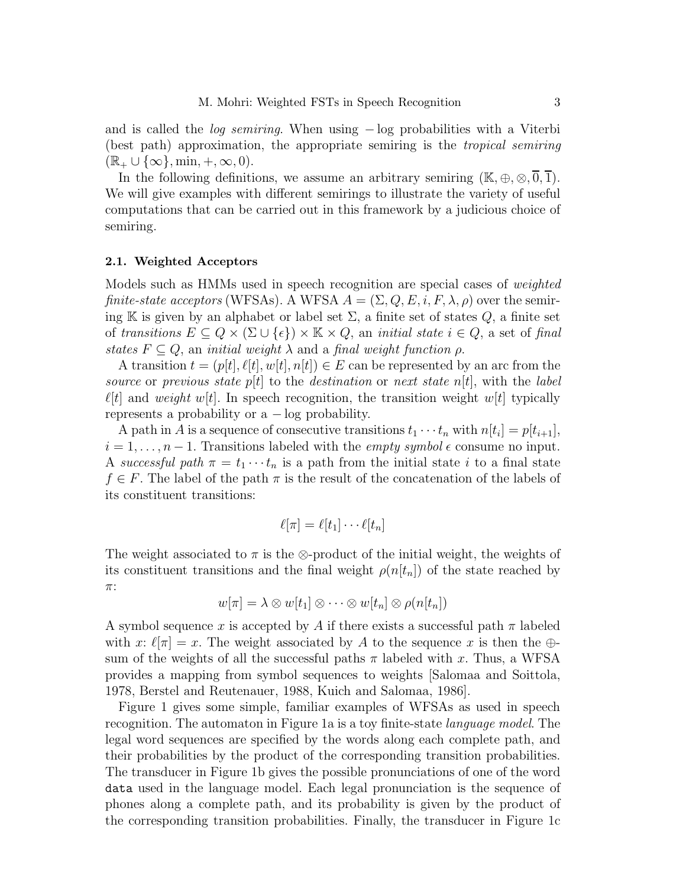and is called the log semiring. When using − log probabilities with a Viterbi (best path) approximation, the appropriate semiring is the tropical semiring  $(\mathbb{R}_{+} \cup {\infty}$ , min,  $+$ ,  $\infty$ , 0).

In the following definitions, we assume an arbitrary semiring  $(\mathbb{K}, \oplus, \otimes, \overline{0}, \overline{1})$ . We will give examples with different semirings to illustrate the variety of useful computations that can be carried out in this framework by a judicious choice of semiring.

#### 2.1. Weighted Acceptors

Models such as HMMs used in speech recognition are special cases of weighted finite-state acceptors (WFSAs). A WFSA  $A = (\Sigma, Q, E, i, F, \lambda, \rho)$  over the semiing K is given by an alphabet or label set  $\Sigma$ , a finite set of states  $Q$ , a finite set of transitions  $E \subseteq Q \times (\Sigma \cup \{\epsilon\}) \times \mathbb{K} \times Q$ , an initial state  $i \in Q$ , a set of final states  $F \subseteq Q$ , an *initial weight*  $\lambda$  and a final weight function  $\rho$ .

A transition  $t = (p[t], \ell[t], w[t], n[t]) \in E$  can be represented by an arc from the source or previous state  $p[t]$  to the destination or next state  $n[t]$ , with the label  $\ell[t]$  and weight w[t]. In speech recognition, the transition weight w[t] typically represents a probability or a − log probability.

A path in A is a sequence of consecutive transitions  $t_1 \cdots t_n$  with  $n[t_i] = p[t_{i+1}],$  $i = 1, \ldots, n-1$ . Transitions labeled with the *empty symbol*  $\epsilon$  consume no input. A successful path  $\pi = t_1 \cdots t_n$  is a path from the initial state i to a final state  $f \in F$ . The label of the path  $\pi$  is the result of the concatenation of the labels of its constituent transitions:

$$
\ell[\pi] = \ell[t_1] \cdots \ell[t_n]
$$

The weight associated to  $\pi$  is the ⊗-product of the initial weight, the weights of its constituent transitions and the final weight  $\rho(n[t_n])$  of the state reached by π:

$$
w[\pi] = \lambda \otimes w[t_1] \otimes \cdots \otimes w[t_n] \otimes \rho(n[t_n])
$$

A symbol sequence x is accepted by A if there exists a successful path  $\pi$  labeled with x:  $\ell[\pi] = x$ . The weight associated by A to the sequence x is then the  $\bigoplus$ sum of the weights of all the successful paths  $\pi$  labeled with x. Thus, a WFSA provides a mapping from symbol sequences to weights [Salomaa and Soittola, 1978, Berstel and Reutenauer, 1988, Kuich and Salomaa, 1986].

Figure 1 gives some simple, familiar examples of WFSAs as used in speech recognition. The automaton in Figure 1a is a toy finite-state *language model*. The legal word sequences are specified by the words along each complete path, and their probabilities by the product of the corresponding transition probabilities. The transducer in Figure 1b gives the possible pronunciations of one of the word data used in the language model. Each legal pronunciation is the sequence of phones along a complete path, and its probability is given by the product of the corresponding transition probabilities. Finally, the transducer in Figure 1c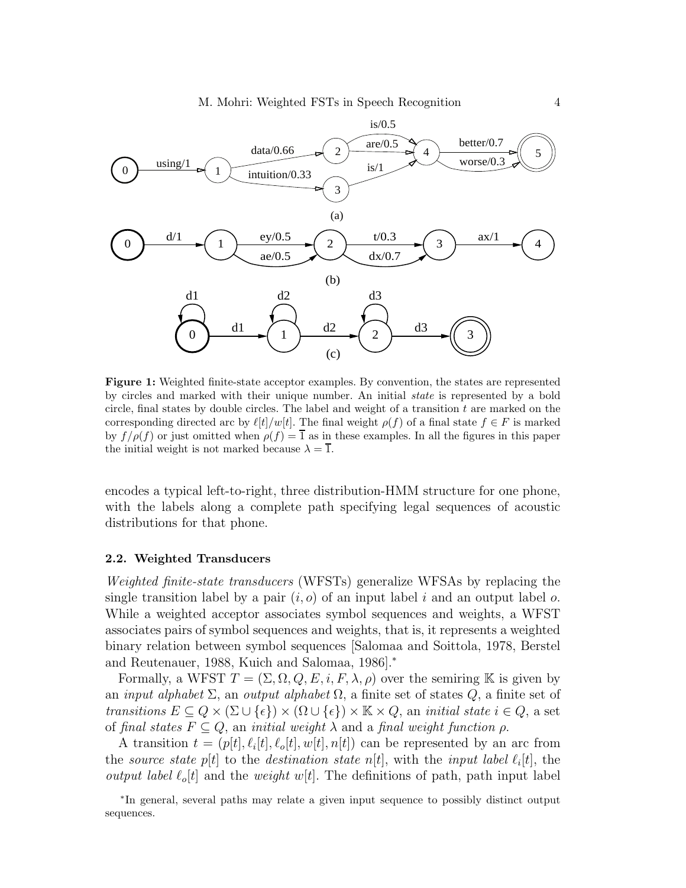#### M. Mohri: Weighted FSTs in Speech Recognition 4



Figure 1: Weighted finite-state acceptor examples. By convention, the states are represented by circles and marked with their unique number. An initial state is represented by a bold circle, final states by double circles. The label and weight of a transition  $t$  are marked on the corresponding directed arc by  $\ell[t]/w[t]$ . The final weight  $\rho(f)$  of a final state  $f \in F$  is marked by  $f/\rho(f)$  or just omitted when  $\rho(f) = \overline{1}$  as in these examples. In all the figures in this paper the initial weight is not marked because  $\lambda = \overline{1}$ .

encodes a typical left-to-right, three distribution-HMM structure for one phone, with the labels along a complete path specifying legal sequences of acoustic distributions for that phone.

#### 2.2. Weighted Transducers

Weighted finite-state transducers (WFSTs) generalize WFSAs by replacing the single transition label by a pair  $(i, o)$  of an input label i and an output label o. While a weighted acceptor associates symbol sequences and weights, a WFST associates pairs of symbol sequences and weights, that is, it represents a weighted binary relation between symbol sequences [Salomaa and Soittola, 1978, Berstel and Reutenauer, 1988, Kuich and Salomaa, 1986].<sup>∗</sup>

Formally, a WFST  $T = (\Sigma, \Omega, Q, E, i, F, \lambda, \rho)$  over the semiring K is given by an *input alphabet*  $\Sigma$ , an *output alphabet*  $\Omega$ , a finite set of states  $Q$ , a finite set of transitions  $E \subseteq Q \times (\Sigma \cup \{\epsilon\}) \times (\Omega \cup \{\epsilon\}) \times \mathbb{K} \times Q$ , an initial state  $i \in Q$ , a set of final states  $F \subseteq Q$ , an initial weight  $\lambda$  and a final weight function  $\rho$ .

A transition  $t = (p[t], \ell_i[t], \ell_o[t], w[t], n[t])$  can be represented by an arc from the source state  $p[t]$  to the destination state  $n[t]$ , with the input label  $\ell_i[t]$ , the *output label*  $\ell_o[t]$  and the *weight* w[t]. The definitions of path, path input label

<sup>∗</sup> In general, several paths may relate a given input sequence to possibly distinct output sequences.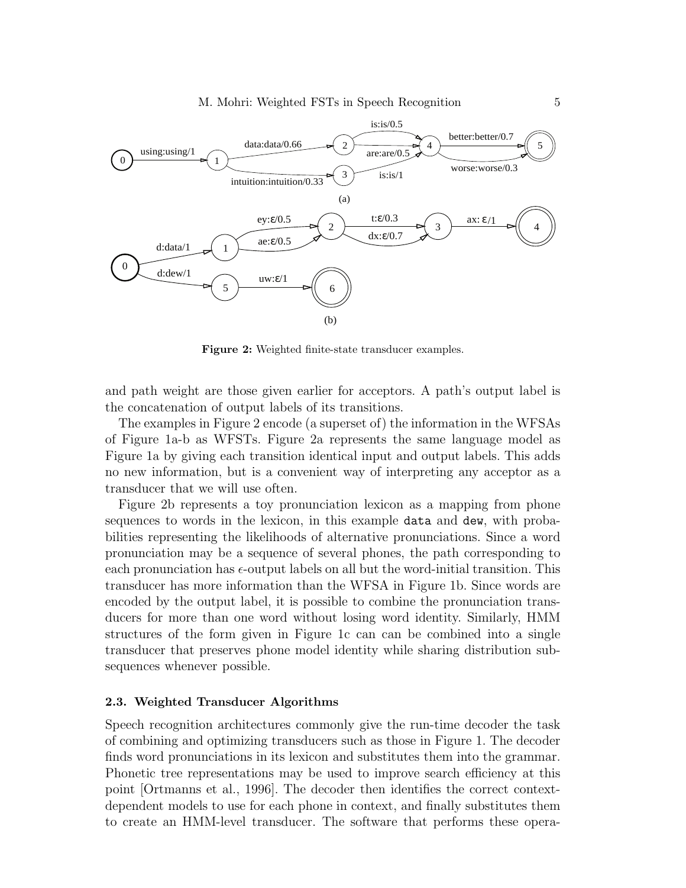#### M. Mohri: Weighted FSTs in Speech Recognition 5



Figure 2: Weighted finite-state transducer examples.

and path weight are those given earlier for acceptors. A path's output label is the concatenation of output labels of its transitions.

The examples in Figure 2 encode (a superset of) the information in the WFSAs of Figure 1a-b as WFSTs. Figure 2a represents the same language model as Figure 1a by giving each transition identical input and output labels. This adds no new information, but is a convenient way of interpreting any acceptor as a transducer that we will use often.

Figure 2b represents a toy pronunciation lexicon as a mapping from phone sequences to words in the lexicon, in this example data and dew, with probabilities representing the likelihoods of alternative pronunciations. Since a word pronunciation may be a sequence of several phones, the path corresponding to each pronunciation has  $\epsilon$ -output labels on all but the word-initial transition. This transducer has more information than the WFSA in Figure 1b. Since words are encoded by the output label, it is possible to combine the pronunciation transducers for more than one word without losing word identity. Similarly, HMM structures of the form given in Figure 1c can can be combined into a single transducer that preserves phone model identity while sharing distribution subsequences whenever possible.

#### 2.3. Weighted Transducer Algorithms

Speech recognition architectures commonly give the run-time decoder the task of combining and optimizing transducers such as those in Figure 1. The decoder finds word pronunciations in its lexicon and substitutes them into the grammar. Phonetic tree representations may be used to improve search efficiency at this point [Ortmanns et al., 1996]. The decoder then identifies the correct contextdependent models to use for each phone in context, and finally substitutes them to create an HMM-level transducer. The software that performs these opera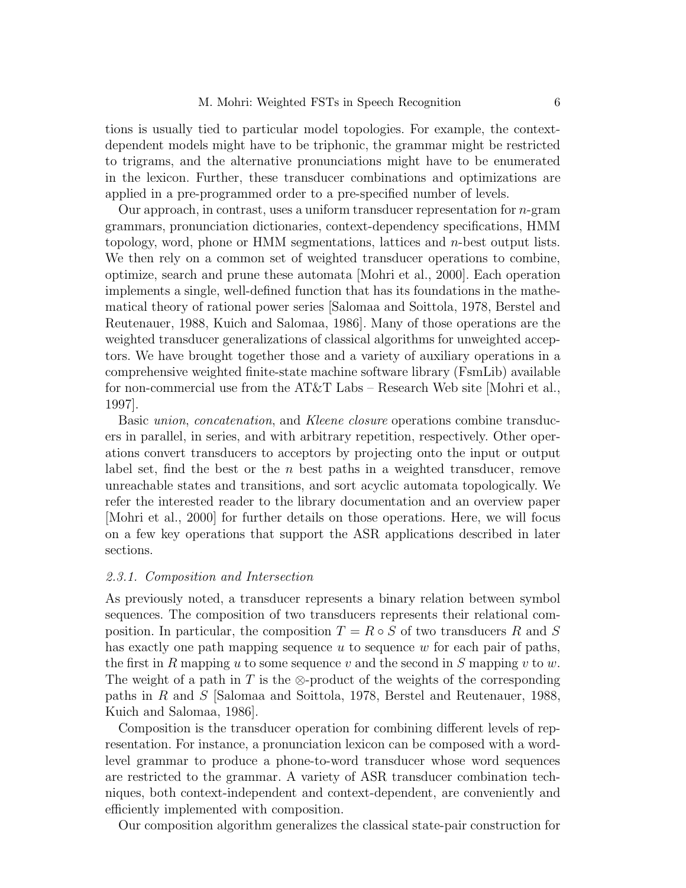tions is usually tied to particular model topologies. For example, the contextdependent models might have to be triphonic, the grammar might be restricted to trigrams, and the alternative pronunciations might have to be enumerated in the lexicon. Further, these transducer combinations and optimizations are applied in a pre-programmed order to a pre-specified number of levels.

Our approach, in contrast, uses a uniform transducer representation for  $n$ -gram grammars, pronunciation dictionaries, context-dependency specifications, HMM topology, word, phone or HMM segmentations, lattices and n-best output lists. We then rely on a common set of weighted transducer operations to combine, optimize, search and prune these automata [Mohri et al., 2000]. Each operation implements a single, well-defined function that has its foundations in the mathematical theory of rational power series [Salomaa and Soittola, 1978, Berstel and Reutenauer, 1988, Kuich and Salomaa, 1986]. Many of those operations are the weighted transducer generalizations of classical algorithms for unweighted acceptors. We have brought together those and a variety of auxiliary operations in a comprehensive weighted finite-state machine software library (FsmLib) available for non-commercial use from the AT&T Labs – Research Web site [Mohri et al., 1997].

Basic union, concatenation, and Kleene closure operations combine transducers in parallel, in series, and with arbitrary repetition, respectively. Other operations convert transducers to acceptors by projecting onto the input or output label set, find the best or the  $n$  best paths in a weighted transducer, remove unreachable states and transitions, and sort acyclic automata topologically. We refer the interested reader to the library documentation and an overview paper [Mohri et al., 2000] for further details on those operations. Here, we will focus on a few key operations that support the ASR applications described in later sections.

#### 2.3.1. Composition and Intersection

As previously noted, a transducer represents a binary relation between symbol sequences. The composition of two transducers represents their relational composition. In particular, the composition  $T = R \circ S$  of two transducers R and S has exactly one path mapping sequence  $u$  to sequence  $w$  for each pair of paths, the first in R mapping u to some sequence v and the second in S mapping v to w. The weight of a path in T is the ⊗-product of the weights of the corresponding paths in R and S [Salomaa and Soittola, 1978, Berstel and Reutenauer, 1988, Kuich and Salomaa, 1986].

Composition is the transducer operation for combining different levels of representation. For instance, a pronunciation lexicon can be composed with a wordlevel grammar to produce a phone-to-word transducer whose word sequences are restricted to the grammar. A variety of ASR transducer combination techniques, both context-independent and context-dependent, are conveniently and efficiently implemented with composition.

Our composition algorithm generalizes the classical state-pair construction for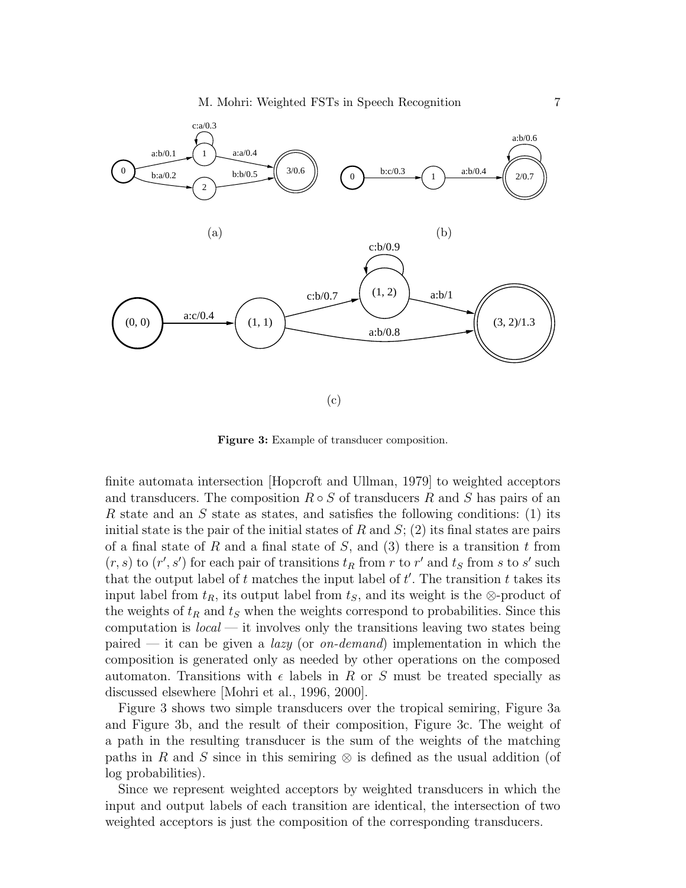

Figure 3: Example of transducer composition.

finite automata intersection [Hopcroft and Ullman, 1979] to weighted acceptors and transducers. The composition  $R \circ S$  of transducers R and S has pairs of an R state and an S state as states, and satisfies the following conditions: (1) its initial state is the pair of the initial states of  $R$  and  $S$ ; (2) its final states are pairs of a final state of R and a final state of S, and  $(3)$  there is a transition t from  $(r, s)$  to  $(r', s')$  for each pair of transitions  $t_R$  from r to r' and  $t_S$  from s to s' such that the output label of  $t$  matches the input label of  $t'$ . The transition  $t$  takes its input label from  $t_R$ , its output label from  $t_S$ , and its weight is the ⊗-product of the weights of  $t_R$  and  $t_S$  when the weights correspond to probabilities. Since this computation is  $local$ — it involves only the transitions leaving two states being paired — it can be given a *lazy* (or *on-demand*) implementation in which the composition is generated only as needed by other operations on the composed automaton. Transitions with  $\epsilon$  labels in R or S must be treated specially as discussed elsewhere [Mohri et al., 1996, 2000].

Figure 3 shows two simple transducers over the tropical semiring, Figure 3a and Figure 3b, and the result of their composition, Figure 3c. The weight of a path in the resulting transducer is the sum of the weights of the matching paths in R and S since in this semiring  $\otimes$  is defined as the usual addition (of log probabilities).

Since we represent weighted acceptors by weighted transducers in which the input and output labels of each transition are identical, the intersection of two weighted acceptors is just the composition of the corresponding transducers.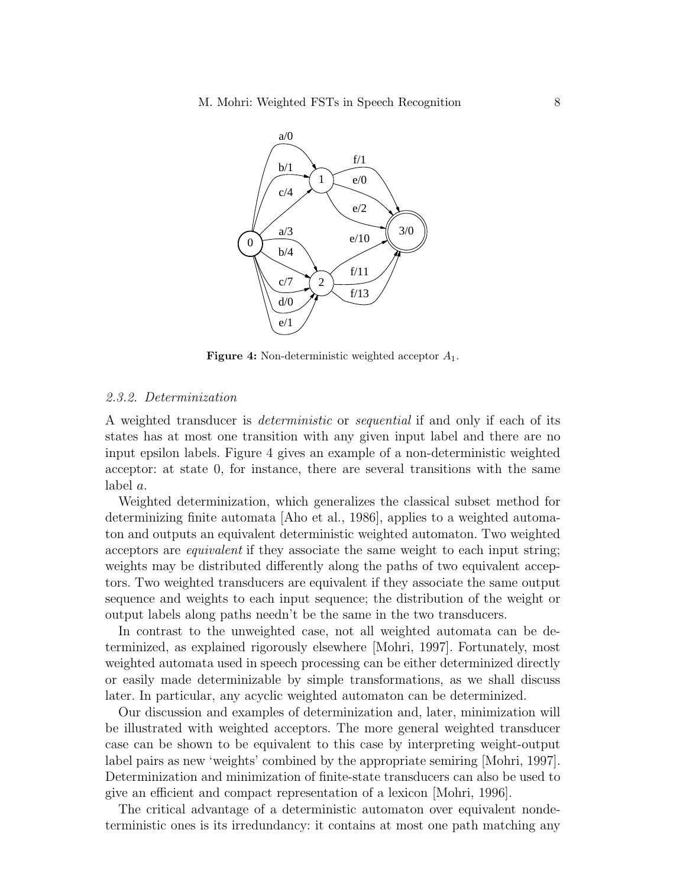

**Figure 4:** Non-deterministic weighted acceptor  $A_1$ .

#### 2.3.2. Determinization

A weighted transducer is deterministic or sequential if and only if each of its states has at most one transition with any given input label and there are no input epsilon labels. Figure 4 gives an example of a non-deterministic weighted acceptor: at state 0, for instance, there are several transitions with the same label a.

Weighted determinization, which generalizes the classical subset method for determinizing finite automata [Aho et al., 1986], applies to a weighted automaton and outputs an equivalent deterministic weighted automaton. Two weighted acceptors are equivalent if they associate the same weight to each input string; weights may be distributed differently along the paths of two equivalent acceptors. Two weighted transducers are equivalent if they associate the same output sequence and weights to each input sequence; the distribution of the weight or output labels along paths needn't be the same in the two transducers.

In contrast to the unweighted case, not all weighted automata can be determinized, as explained rigorously elsewhere [Mohri, 1997]. Fortunately, most weighted automata used in speech processing can be either determinized directly or easily made determinizable by simple transformations, as we shall discuss later. In particular, any acyclic weighted automaton can be determinized.

Our discussion and examples of determinization and, later, minimization will be illustrated with weighted acceptors. The more general weighted transducer case can be shown to be equivalent to this case by interpreting weight-output label pairs as new 'weights' combined by the appropriate semiring [Mohri, 1997]. Determinization and minimization of finite-state transducers can also be used to give an efficient and compact representation of a lexicon [Mohri, 1996].

The critical advantage of a deterministic automaton over equivalent nondeterministic ones is its irredundancy: it contains at most one path matching any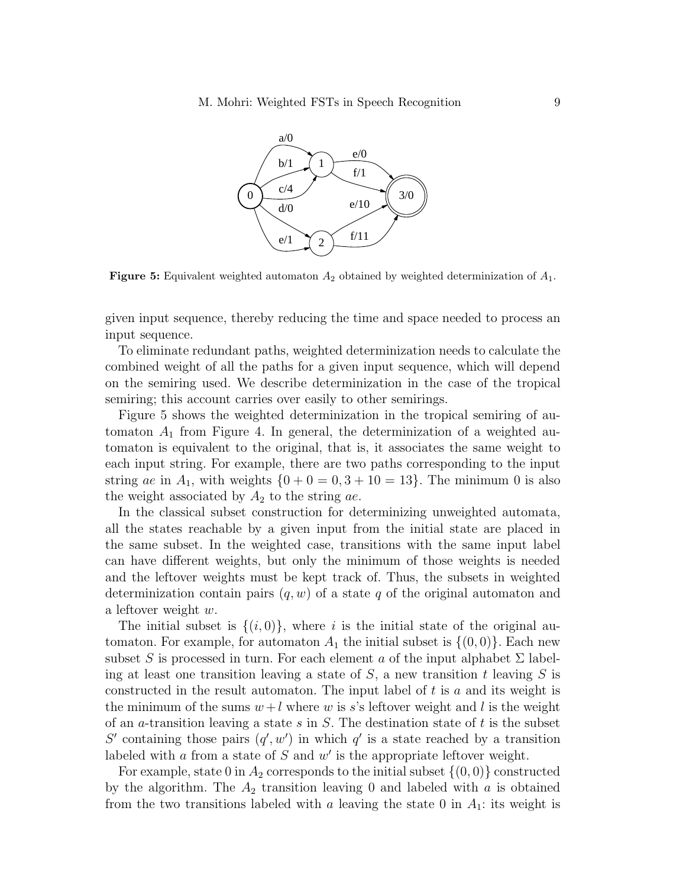

**Figure 5:** Equivalent weighted automaton  $A_2$  obtained by weighted determinization of  $A_1$ .

given input sequence, thereby reducing the time and space needed to process an input sequence.

To eliminate redundant paths, weighted determinization needs to calculate the combined weight of all the paths for a given input sequence, which will depend on the semiring used. We describe determinization in the case of the tropical semiring; this account carries over easily to other semirings.

Figure 5 shows the weighted determinization in the tropical semiring of automaton  $A_1$  from Figure 4. In general, the determinization of a weighted automaton is equivalent to the original, that is, it associates the same weight to each input string. For example, there are two paths corresponding to the input string ae in  $A_1$ , with weights  $\{0 + 0 = 0, 3 + 10 = 13\}$ . The minimum 0 is also the weight associated by  $A_2$  to the string ae.

In the classical subset construction for determinizing unweighted automata, all the states reachable by a given input from the initial state are placed in the same subset. In the weighted case, transitions with the same input label can have different weights, but only the minimum of those weights is needed and the leftover weights must be kept track of. Thus, the subsets in weighted determinization contain pairs  $(q, w)$  of a state q of the original automaton and a leftover weight w.

The initial subset is  $\{(i, 0)\}\)$ , where i is the initial state of the original automaton. For example, for automaton  $A_1$  the initial subset is  $\{(0,0)\}\)$ . Each new subset S is processed in turn. For each element a of the input alphabet  $\Sigma$  labeling at least one transition leaving a state of  $S$ , a new transition t leaving  $S$  is constructed in the result automaton. The input label of t is a and its weight is the minimum of the sums  $w + l$  where w is s's leftover weight and l is the weight of an a-transition leaving a state s in  $S$ . The destination state of t is the subset S' containing those pairs  $(q', w')$  in which  $q'$  is a state reached by a transition labeled with  $a$  from a state of  $S$  and  $w'$  is the appropriate leftover weight.

For example, state 0 in  $A_2$  corresponds to the initial subset  $\{(0,0)\}$  constructed by the algorithm. The  $A_2$  transition leaving 0 and labeled with a is obtained from the two transitions labeled with a leaving the state 0 in  $A_1$ : its weight is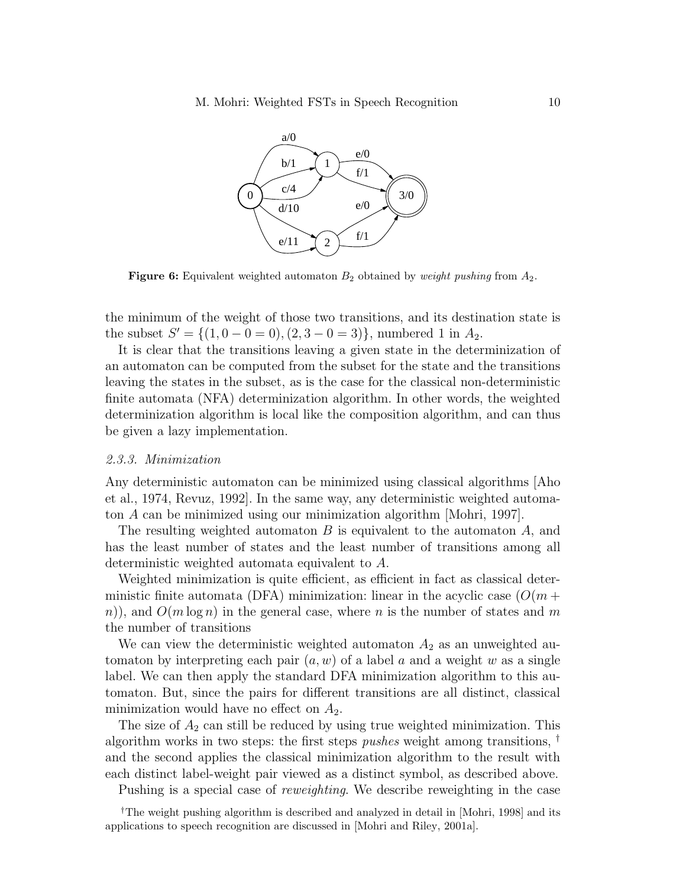

Figure 6: Equivalent weighted automaton  $B_2$  obtained by weight pushing from  $A_2$ .

the minimum of the weight of those two transitions, and its destination state is the subset  $S' = \{(1, 0 - 0 = 0), (2, 3 - 0 = 3)\}\$ , numbered 1 in  $A_2$ .

It is clear that the transitions leaving a given state in the determinization of an automaton can be computed from the subset for the state and the transitions leaving the states in the subset, as is the case for the classical non-deterministic finite automata (NFA) determinization algorithm. In other words, the weighted determinization algorithm is local like the composition algorithm, and can thus be given a lazy implementation.

#### 2.3.3. Minimization

Any deterministic automaton can be minimized using classical algorithms [Aho et al., 1974, Revuz, 1992]. In the same way, any deterministic weighted automaton A can be minimized using our minimization algorithm [Mohri, 1997].

The resulting weighted automaton  $B$  is equivalent to the automaton  $A$ , and has the least number of states and the least number of transitions among all deterministic weighted automata equivalent to A.

Weighted minimization is quite efficient, as efficient in fact as classical deterministic finite automata (DFA) minimization: linear in the acyclic case  $(O(m +$ n), and  $O(m \log n)$  in the general case, where n is the number of states and m the number of transitions

We can view the deterministic weighted automaton  $A_2$  as an unweighted automaton by interpreting each pair  $(a, w)$  of a label a and a weight w as a single label. We can then apply the standard DFA minimization algorithm to this automaton. But, since the pairs for different transitions are all distinct, classical minimization would have no effect on  $A_2$ .

The size of  $A_2$  can still be reduced by using true weighted minimization. This algorithm works in two steps: the first steps *pushes* weight among transitions,  $\dagger$ and the second applies the classical minimization algorithm to the result with each distinct label-weight pair viewed as a distinct symbol, as described above.

Pushing is a special case of reweighting. We describe reweighting in the case

†The weight pushing algorithm is described and analyzed in detail in [Mohri, 1998] and its applications to speech recognition are discussed in [Mohri and Riley, 2001a].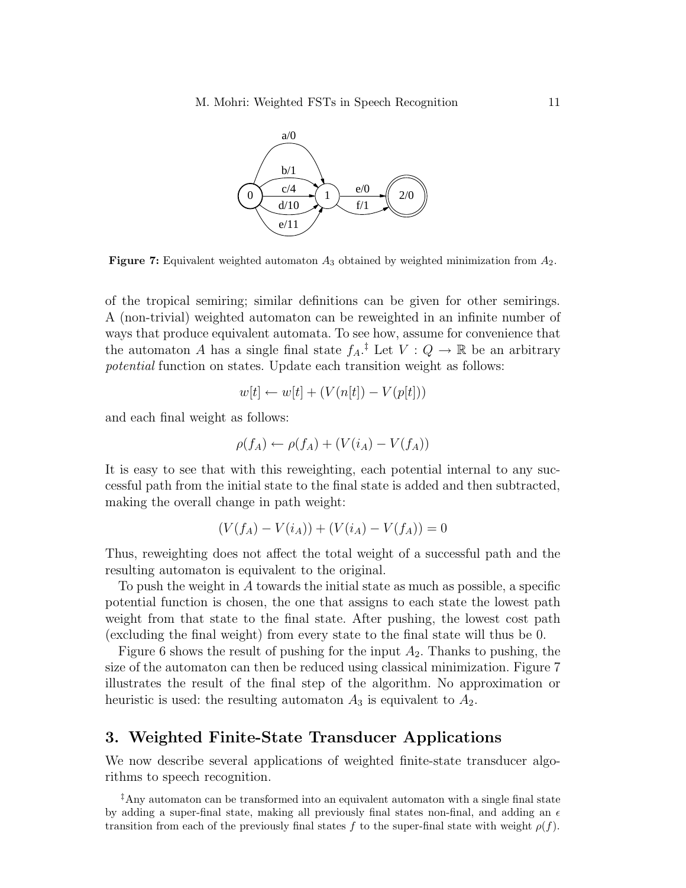

**Figure 7:** Equivalent weighted automaton  $A_3$  obtained by weighted minimization from  $A_2$ .

of the tropical semiring; similar definitions can be given for other semirings. A (non-trivial) weighted automaton can be reweighted in an infinite number of ways that produce equivalent automata. To see how, assume for convenience that the automaton A has a single final state  $f_A$ <sup> $\ddagger$ </sup> Let  $V: Q \to \mathbb{R}$  be an arbitrary potential function on states. Update each transition weight as follows:

$$
w[t] \leftarrow w[t] + (V(n[t]) - V(p[t]))
$$

and each final weight as follows:

$$
\rho(f_A) \leftarrow \rho(f_A) + (V(i_A) - V(f_A))
$$

It is easy to see that with this reweighting, each potential internal to any successful path from the initial state to the final state is added and then subtracted, making the overall change in path weight:

$$
(V(f_A) - V(i_A)) + (V(i_A) - V(f_A)) = 0
$$

Thus, reweighting does not affect the total weight of a successful path and the resulting automaton is equivalent to the original.

To push the weight in A towards the initial state as much as possible, a specific potential function is chosen, the one that assigns to each state the lowest path weight from that state to the final state. After pushing, the lowest cost path (excluding the final weight) from every state to the final state will thus be 0.

Figure 6 shows the result of pushing for the input  $A_2$ . Thanks to pushing, the size of the automaton can then be reduced using classical minimization. Figure 7 illustrates the result of the final step of the algorithm. No approximation or heuristic is used: the resulting automaton  $A_3$  is equivalent to  $A_2$ .

# 3. Weighted Finite-State Transducer Applications

We now describe several applications of weighted finite-state transducer algorithms to speech recognition.

‡Any automaton can be transformed into an equivalent automaton with a single final state by adding a super-final state, making all previously final states non-final, and adding an  $\epsilon$ transition from each of the previously final states f to the super-final state with weight  $\rho(f)$ .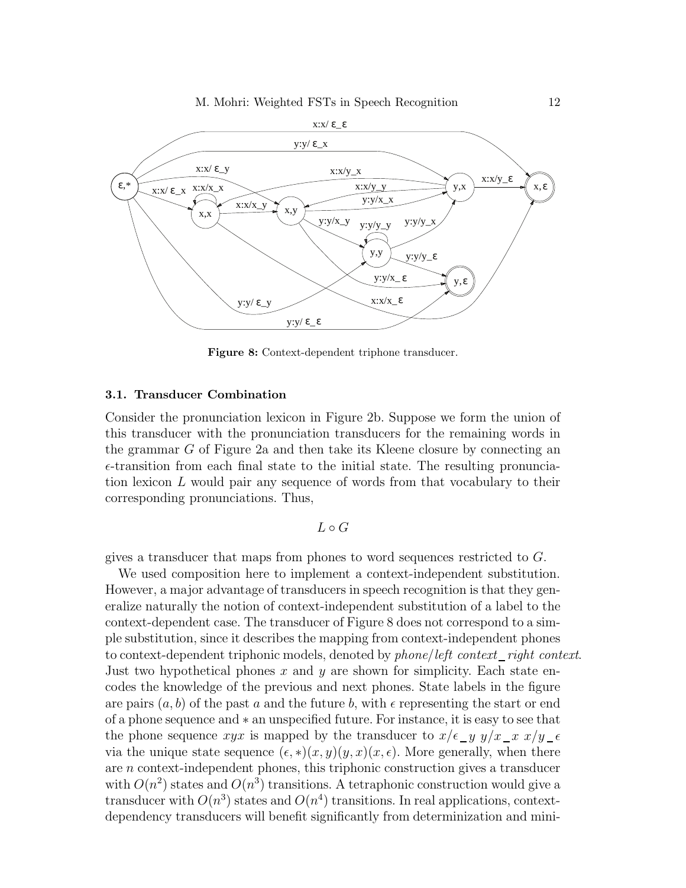

Figure 8: Context-dependent triphone transducer.

#### 3.1. Transducer Combination

Consider the pronunciation lexicon in Figure 2b. Suppose we form the union of this transducer with the pronunciation transducers for the remaining words in the grammar G of Figure 2a and then take its Kleene closure by connecting an  $\epsilon$ -transition from each final state to the initial state. The resulting pronunciation lexicon L would pair any sequence of words from that vocabulary to their corresponding pronunciations. Thus,

 $L \circ G$ 

gives a transducer that maps from phones to word sequences restricted to G.

We used composition here to implement a context-independent substitution. However, a major advantage of transducers in speech recognition is that they generalize naturally the notion of context-independent substitution of a label to the context-dependent case. The transducer of Figure 8 does not correspond to a simple substitution, since it describes the mapping from context-independent phones to context-dependent triphonic models, denoted by *phone/left context right context*. Just two hypothetical phones x and y are shown for simplicity. Each state encodes the knowledge of the previous and next phones. State labels in the figure are pairs  $(a, b)$  of the past a and the future b, with  $\epsilon$  representing the start or end of a phone sequence and ∗ an unspecified future. For instance, it is easy to see that the phone sequence xyx is mapped by the transducer to  $x/\epsilon \, y \, y/x \, x \, x/y \, \epsilon$ via the unique state sequence  $(\epsilon, \ast)(x, y)(y, x)(x, \epsilon)$ . More generally, when there are  $n$  context-independent phones, this triphonic construction gives a transducer with  $O(n^2)$  states and  $O(n^3)$  transitions. A tetraphonic construction would give a transducer with  $O(n^3)$  states and  $O(n^4)$  transitions. In real applications, contextdependency transducers will benefit significantly from determinization and mini-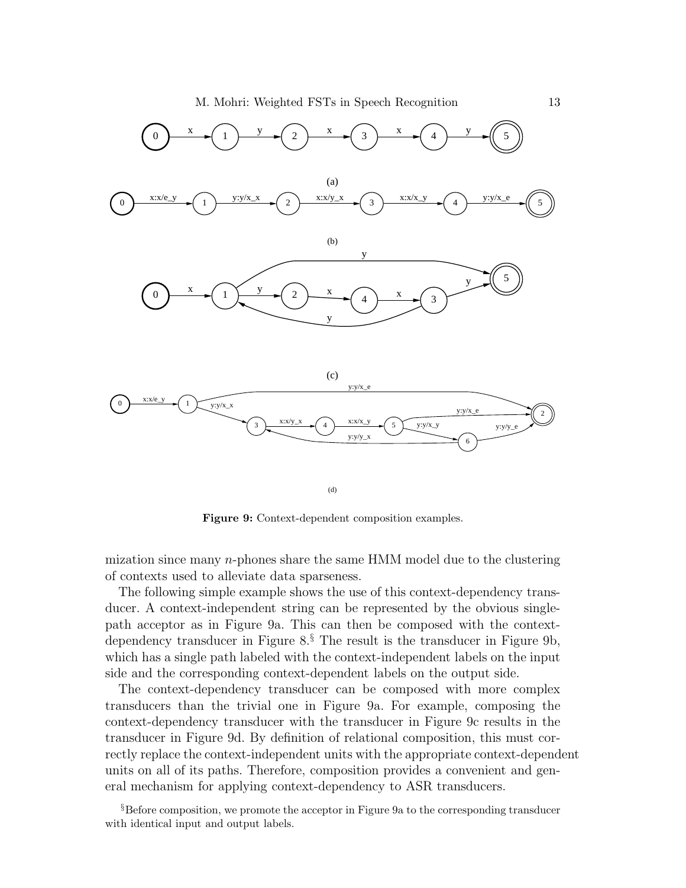

Figure 9: Context-dependent composition examples.

mization since many  $n$ -phones share the same HMM model due to the clustering of contexts used to alleviate data sparseness.

The following simple example shows the use of this context-dependency transducer. A context-independent string can be represented by the obvious singlepath acceptor as in Figure 9a. This can then be composed with the contextdependency transducer in Figure 8.§ The result is the transducer in Figure 9b, which has a single path labeled with the context-independent labels on the input side and the corresponding context-dependent labels on the output side.

The context-dependency transducer can be composed with more complex transducers than the trivial one in Figure 9a. For example, composing the context-dependency transducer with the transducer in Figure 9c results in the transducer in Figure 9d. By definition of relational composition, this must correctly replace the context-independent units with the appropriate context-dependent units on all of its paths. Therefore, composition provides a convenient and general mechanism for applying context-dependency to ASR transducers.

§Before composition, we promote the acceptor in Figure 9a to the corresponding transducer with identical input and output labels.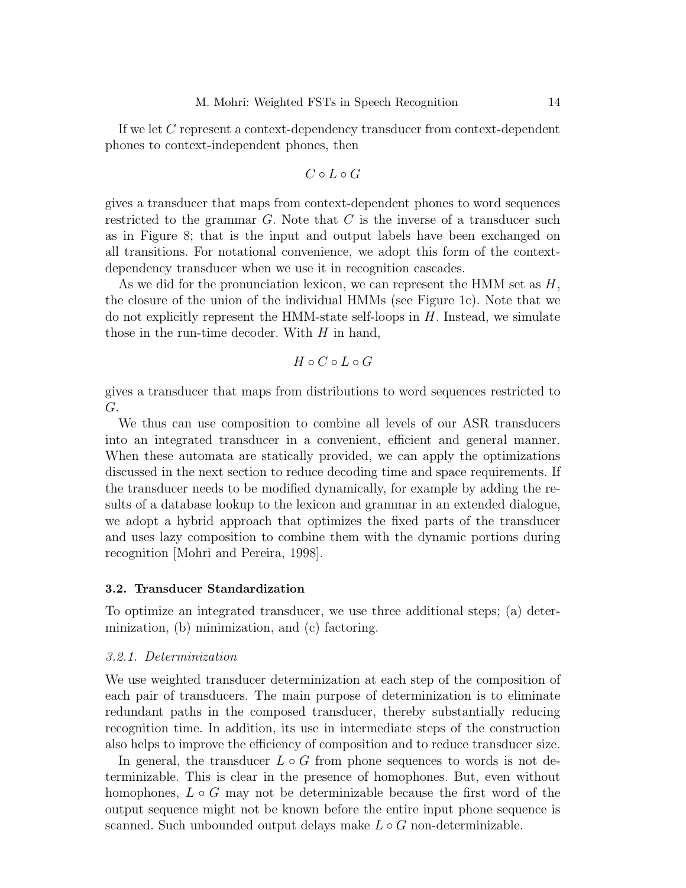If we let C represent a context-dependency transducer from context-dependent phones to context-independent phones, then

$$
C\circ L\circ G
$$

gives a transducer that maps from context-dependent phones to word sequences restricted to the grammar  $G$ . Note that  $C$  is the inverse of a transducer such as in Figure 8; that is the input and output labels have been exchanged on all transitions. For notational convenience, we adopt this form of the contextdependency transducer when we use it in recognition cascades.

As we did for the pronunciation lexicon, we can represent the HMM set as  $H$ , the closure of the union of the individual HMMs (see Figure 1c). Note that we do not explicitly represent the HMM-state self-loops in  $H$ . Instead, we simulate those in the run-time decoder. With  $H$  in hand,

$$
H \circ C \circ L \circ G
$$

gives a transducer that maps from distributions to word sequences restricted to G.

We thus can use composition to combine all levels of our ASR transducers into an integrated transducer in a convenient, efficient and general manner. When these automata are statically provided, we can apply the optimizations discussed in the next section to reduce decoding time and space requirements. If the transducer needs to be modified dynamically, for example by adding the results of a database lookup to the lexicon and grammar in an extended dialogue, we adopt a hybrid approach that optimizes the fixed parts of the transducer and uses lazy composition to combine them with the dynamic portions during recognition [Mohri and Pereira, 1998].

#### 3.2. Transducer Standardization

To optimize an integrated transducer, we use three additional steps; (a) determinization, (b) minimization, and (c) factoring.

#### 3.2.1. Determinization

We use weighted transducer determinization at each step of the composition of each pair of transducers. The main purpose of determinization is to eliminate redundant paths in the composed transducer, thereby substantially reducing recognition time. In addition, its use in intermediate steps of the construction also helps to improve the efficiency of composition and to reduce transducer size.

In general, the transducer  $L \circ G$  from phone sequences to words is not determinizable. This is clear in the presence of homophones. But, even without homophones,  $L \circ G$  may not be determinizable because the first word of the output sequence might not be known before the entire input phone sequence is scanned. Such unbounded output delays make  $L \circ G$  non-determinizable.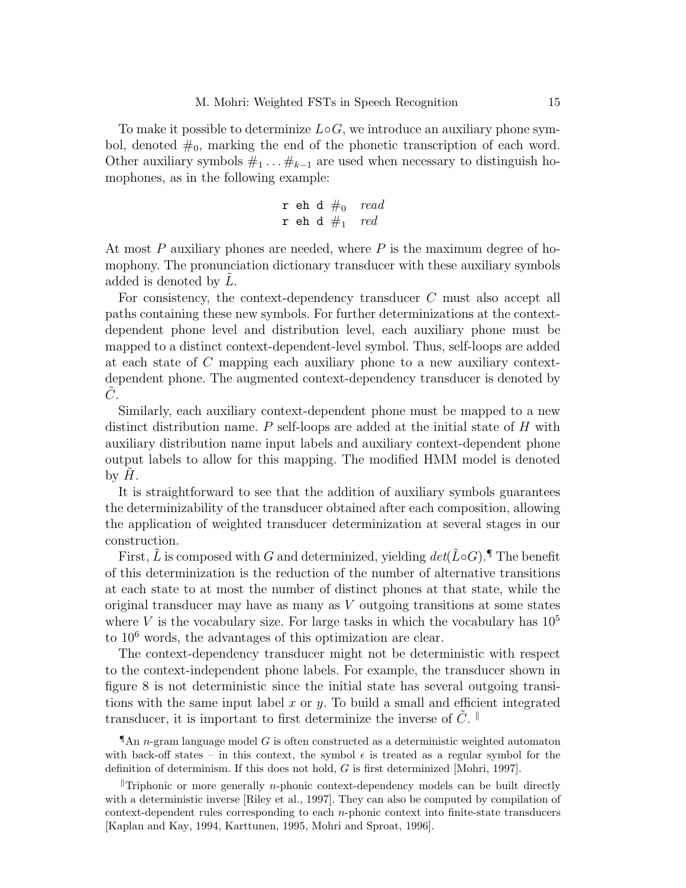To make it possible to determinize  $L \circ G$ , we introduce an auxiliary phone symbol, denoted  $\#_0$ , marking the end of the phonetic transcription of each word. Other auxiliary symbols  $\#_1 \ldots \#_{k-1}$  are used when necessary to distinguish homophones, as in the following example:

$$
\begin{array}{cccc}\nr & \text{eh} & d & \#_0 & \text{read} \\
r & \text{eh} & d & \#_1 & \text{red}\n\end{array}
$$

At most P auxiliary phones are needed, where  $P$  is the maximum degree of homophony. The pronunciation dictionary transducer with these auxiliary symbols added is denoted by  $L$ .

For consistency, the context-dependency transducer C must also accept all paths containing these new symbols. For further determinizations at the contextdependent phone level and distribution level, each auxiliary phone must be mapped to a distinct context-dependent-level symbol. Thus, self-loops are added at each state of C mapping each auxiliary phone to a new auxiliary contextdependent phone. The augmented context-dependency transducer is denoted by  $C$ .

Similarly, each auxiliary context-dependent phone must be mapped to a new distinct distribution name.  $P$  self-loops are added at the initial state of  $H$  with auxiliary distribution name input labels and auxiliary context-dependent phone output labels to allow for this mapping. The modified HMM model is denoted by  $H$ .

It is straightforward to see that the addition of auxiliary symbols guarantees the determinizability of the transducer obtained after each composition, allowing the application of weighted transducer determinization at several stages in our construction.

First,  $\tilde{L}$  is composed with G and determinized, yielding  $det(\tilde{L} \circ G)$ . If The benefit of this determinization is the reduction of the number of alternative transitions at each state to at most the number of distinct phones at that state, while the original transducer may have as many as  $V$  outgoing transitions at some states where V is the vocabulary size. For large tasks in which the vocabulary has  $10^5$ to 10<sup>6</sup> words, the advantages of this optimization are clear.

The context-dependency transducer might not be deterministic with respect to the context-independent phone labels. For example, the transducer shown in figure 8 is not deterministic since the initial state has several outgoing transitions with the same input label  $x$  or  $y$ . To build a small and efficient integrated transducer, it is important to first determinize the inverse of  $\tilde{C}$ .

 $\P$ An *n*-gram language model G is often constructed as a deterministic weighted automaton with back-off states – in this context, the symbol  $\epsilon$  is treated as a regular symbol for the definition of determinism. If this does not hold, G is first determinized [Mohri, 1997].

Triphonic or more generally n-phonic context-dependency models can be built directly with a deterministic inverse [Riley et al., 1997]. They can also be computed by compilation of context-dependent rules corresponding to each n-phonic context into finite-state transducers [Kaplan and Kay, 1994, Karttunen, 1995, Mohri and Sproat, 1996].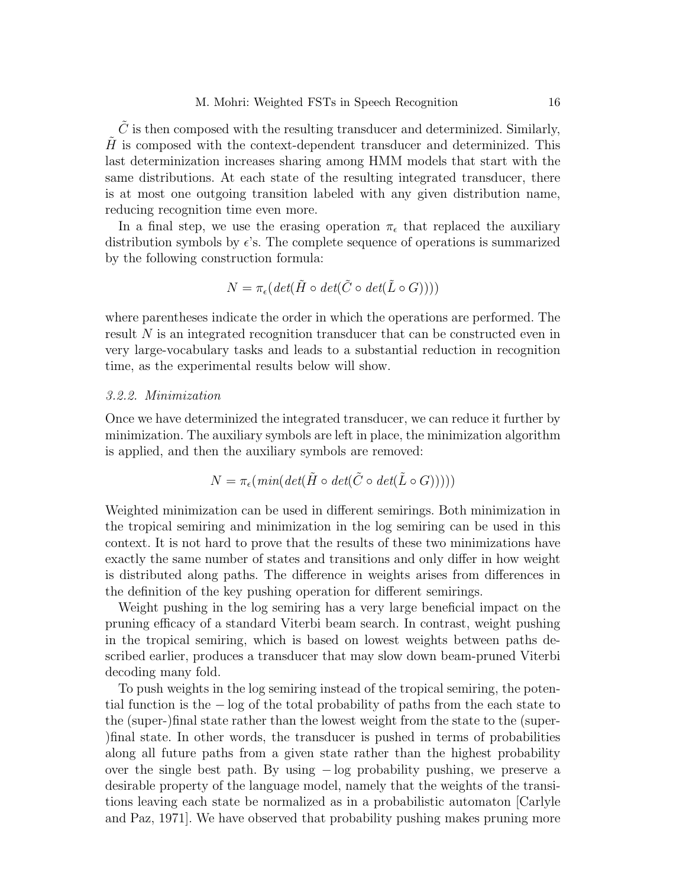$\tilde{C}$  is then composed with the resulting transducer and determinized. Similarly,  $H$  is composed with the context-dependent transducer and determinized. This last determinization increases sharing among HMM models that start with the same distributions. At each state of the resulting integrated transducer, there is at most one outgoing transition labeled with any given distribution name, reducing recognition time even more.

In a final step, we use the erasing operation  $\pi_{\epsilon}$  that replaced the auxiliary distribution symbols by  $\epsilon$ 's. The complete sequence of operations is summarized by the following construction formula:

$$
N = \pi_{\epsilon}(\det(\tilde{H} \circ \det(\tilde{C} \circ \det(\tilde{L} \circ G))))
$$

where parentheses indicate the order in which the operations are performed. The result N is an integrated recognition transducer that can be constructed even in very large-vocabulary tasks and leads to a substantial reduction in recognition time, as the experimental results below will show.

#### 3.2.2. Minimization

Once we have determinized the integrated transducer, we can reduce it further by minimization. The auxiliary symbols are left in place, the minimization algorithm is applied, and then the auxiliary symbols are removed:

$$
N = \pi_{\epsilon}(min(det(\tilde{H} \circ det(\tilde{C} \circ det(\tilde{L} \circ G))))))
$$

Weighted minimization can be used in different semirings. Both minimization in the tropical semiring and minimization in the log semiring can be used in this context. It is not hard to prove that the results of these two minimizations have exactly the same number of states and transitions and only differ in how weight is distributed along paths. The difference in weights arises from differences in the definition of the key pushing operation for different semirings.

Weight pushing in the log semiring has a very large beneficial impact on the pruning efficacy of a standard Viterbi beam search. In contrast, weight pushing in the tropical semiring, which is based on lowest weights between paths described earlier, produces a transducer that may slow down beam-pruned Viterbi decoding many fold.

To push weights in the log semiring instead of the tropical semiring, the potential function is the − log of the total probability of paths from the each state to the (super-)final state rather than the lowest weight from the state to the (super- )final state. In other words, the transducer is pushed in terms of probabilities along all future paths from a given state rather than the highest probability over the single best path. By using − log probability pushing, we preserve a desirable property of the language model, namely that the weights of the transitions leaving each state be normalized as in a probabilistic automaton [Carlyle and Paz, 1971]. We have observed that probability pushing makes pruning more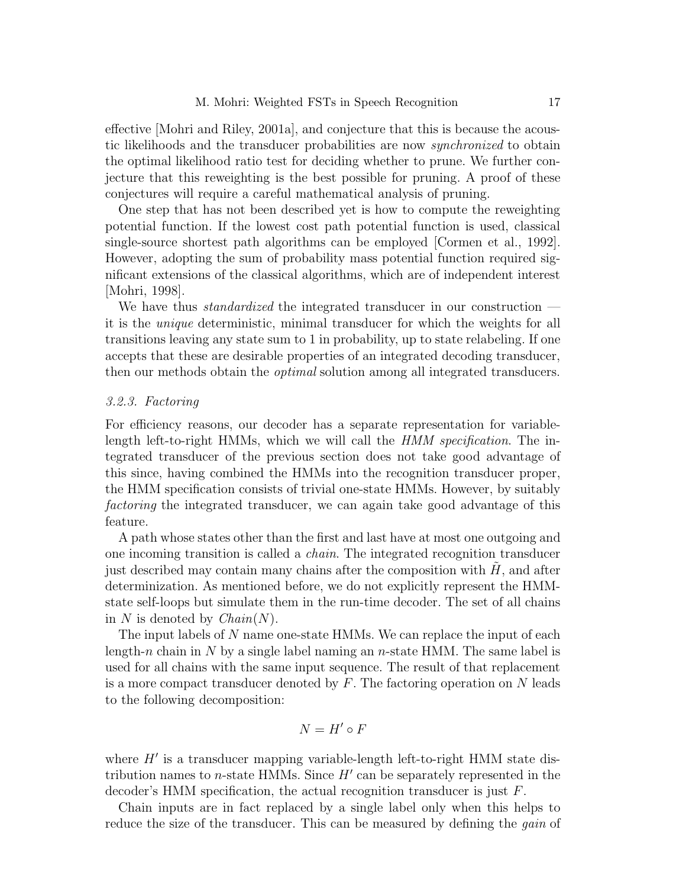#### M. Mohri: Weighted FSTs in Speech Recognition 17

effective [Mohri and Riley, 2001a], and conjecture that this is because the acoustic likelihoods and the transducer probabilities are now synchronized to obtain the optimal likelihood ratio test for deciding whether to prune. We further conjecture that this reweighting is the best possible for pruning. A proof of these conjectures will require a careful mathematical analysis of pruning.

One step that has not been described yet is how to compute the reweighting potential function. If the lowest cost path potential function is used, classical single-source shortest path algorithms can be employed [Cormen et al., 1992]. However, adopting the sum of probability mass potential function required significant extensions of the classical algorithms, which are of independent interest [Mohri, 1998].

We have thus *standardized* the integrated transducer in our construction – it is the unique deterministic, minimal transducer for which the weights for all transitions leaving any state sum to 1 in probability, up to state relabeling. If one accepts that these are desirable properties of an integrated decoding transducer, then our methods obtain the *optimal* solution among all integrated transducers.

#### 3.2.3. Factoring

For efficiency reasons, our decoder has a separate representation for variablelength left-to-right HMMs, which we will call the HMM specification. The integrated transducer of the previous section does not take good advantage of this since, having combined the HMMs into the recognition transducer proper, the HMM specification consists of trivial one-state HMMs. However, by suitably factoring the integrated transducer, we can again take good advantage of this feature.

A path whose states other than the first and last have at most one outgoing and one incoming transition is called a chain. The integrated recognition transducer just described may contain many chains after the composition with  $H$ , and after determinization. As mentioned before, we do not explicitly represent the HMMstate self-loops but simulate them in the run-time decoder. The set of all chains in N is denoted by  $Chain(N)$ .

The input labels of N name one-state HMMs. We can replace the input of each length-n chain in N by a single label naming an n-state HMM. The same label is used for all chains with the same input sequence. The result of that replacement is a more compact transducer denoted by  $F$ . The factoring operation on  $N$  leads to the following decomposition:

$$
N = H' \circ F
$$

where  $H'$  is a transducer mapping variable-length left-to-right HMM state distribution names to  $n$ -state HMMs. Since  $H'$  can be separately represented in the decoder's HMM specification, the actual recognition transducer is just F.

Chain inputs are in fact replaced by a single label only when this helps to reduce the size of the transducer. This can be measured by defining the *gain* of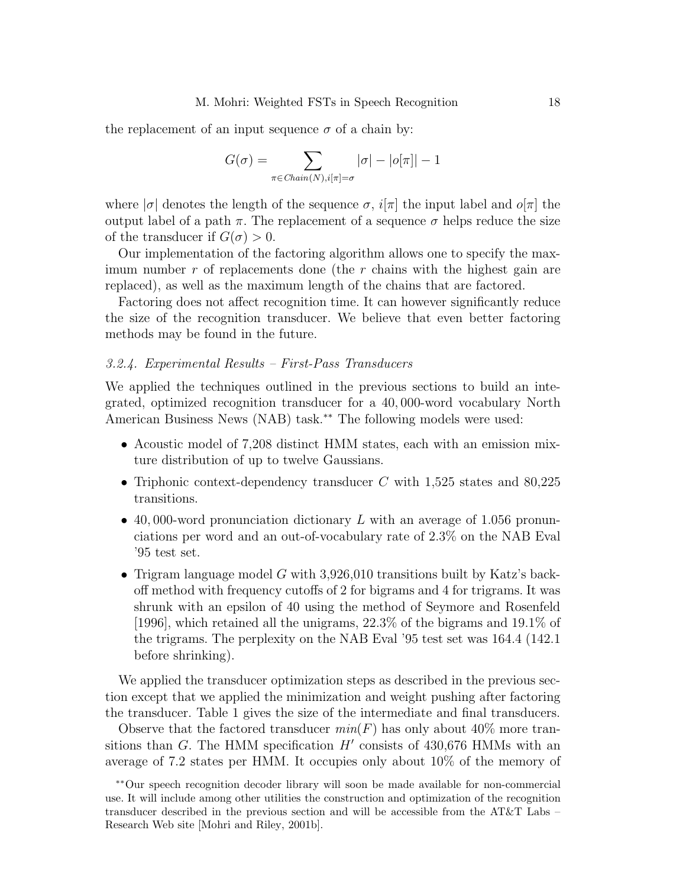the replacement of an input sequence  $\sigma$  of a chain by:

$$
G(\sigma) = \sum_{\pi \in Chain(N), i[\pi] = \sigma} |\sigma| - |o[\pi]| - 1
$$

where  $|\sigma|$  denotes the length of the sequence  $\sigma$ ,  $i|\pi|$  the input label and  $o|\pi|$  the output label of a path  $\pi$ . The replacement of a sequence  $\sigma$  helps reduce the size of the transducer if  $G(\sigma) > 0$ .

Our implementation of the factoring algorithm allows one to specify the maximum number r of replacements done (the r chains with the highest gain are replaced), as well as the maximum length of the chains that are factored.

Factoring does not affect recognition time. It can however significantly reduce the size of the recognition transducer. We believe that even better factoring methods may be found in the future.

#### 3.2.4. Experimental Results – First-Pass Transducers

We applied the techniques outlined in the previous sections to build an integrated, optimized recognition transducer for a 40, 000-word vocabulary North American Business News (NAB) task.<sup>\*\*</sup> The following models were used:

- Acoustic model of 7,208 distinct HMM states, each with an emission mixture distribution of up to twelve Gaussians.
- Triphonic context-dependency transducer C with  $1,525$  states and  $80,225$ transitions.
- 40,000-word pronunciation dictionary  $L$  with an average of 1.056 pronunciations per word and an out-of-vocabulary rate of 2.3% on the NAB Eval '95 test set.
- Trigram language model G with 3,926,010 transitions built by Katz's backoff method with frequency cutoffs of 2 for bigrams and 4 for trigrams. It was shrunk with an epsilon of 40 using the method of Seymore and Rosenfeld [1996], which retained all the unigrams, 22.3% of the bigrams and 19.1% of the trigrams. The perplexity on the NAB Eval '95 test set was 164.4 (142.1 before shrinking).

We applied the transducer optimization steps as described in the previous section except that we applied the minimization and weight pushing after factoring the transducer. Table 1 gives the size of the intermediate and final transducers.

Observe that the factored transducer  $min(F)$  has only about 40% more transitions than  $G$ . The HMM specification  $H'$  consists of 430,676 HMMs with an average of 7.2 states per HMM. It occupies only about 10% of the memory of

<sup>∗∗</sup>Our speech recognition decoder library will soon be made available for non-commercial use. It will include among other utilities the construction and optimization of the recognition transducer described in the previous section and will be accessible from the AT&T Labs – Research Web site [Mohri and Riley, 2001b].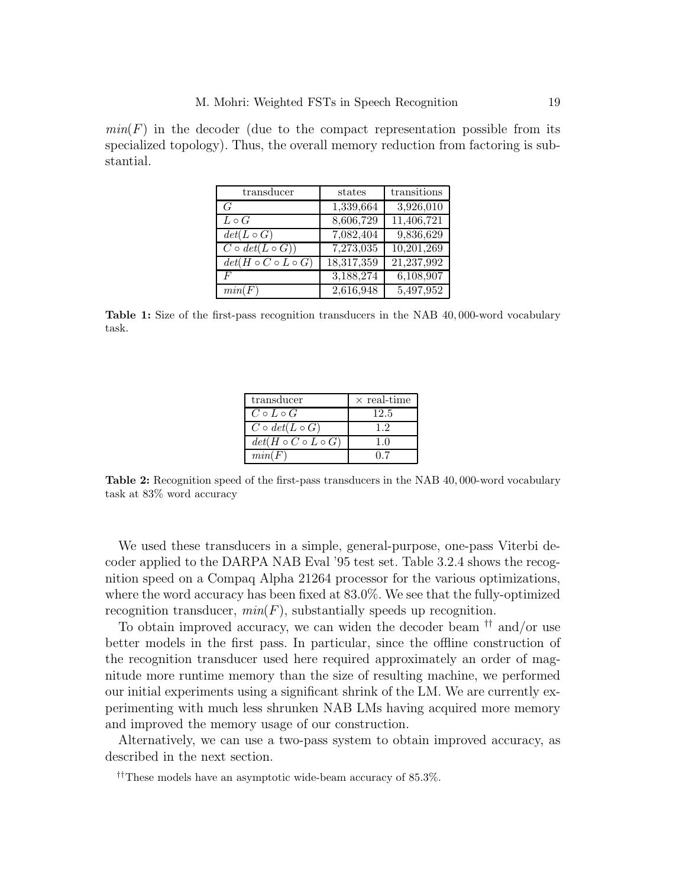$min(F)$  in the decoder (due to the compact representation possible from its specialized topology). Thus, the overall memory reduction from factoring is substantial.

| transducer                       | states     | transitions |  |
|----------------------------------|------------|-------------|--|
| G                                | 1,339,664  | 3,926,010   |  |
| $L \circ G$                      | 8,606,729  | 11,406,721  |  |
| $det(L \circ G)$                 | 7,082,404  | 9,836,629   |  |
| $C \circ det(L \circ G)$         | 7,273,035  | 10,201,269  |  |
| $det(H \circ C \circ L \circ G)$ | 18,317,359 | 21,237,992  |  |
| F                                | 3,188,274  | 6,108,907   |  |
| min(F)                           | 2,616,948  | 5,497,952   |  |

Table 1: Size of the first-pass recognition transducers in the NAB 40, 000-word vocabulary task.

| transducer                       | $\times$ real-time |
|----------------------------------|--------------------|
| $C \circ L \circ G$              | 12.5               |
| $C \circ det(L \circ G)$         | 12                 |
| $det(H \circ C \circ L \circ G)$ | 1.0                |
| min(F)                           |                    |

Table 2: Recognition speed of the first-pass transducers in the NAB 40,000-word vocabulary task at 83% word accuracy

We used these transducers in a simple, general-purpose, one-pass Viterbi decoder applied to the DARPA NAB Eval '95 test set. Table 3.2.4 shows the recognition speed on a Compaq Alpha 21264 processor for the various optimizations, where the word accuracy has been fixed at 83.0%. We see that the fully-optimized recognition transducer,  $min(F)$ , substantially speeds up recognition.

To obtain improved accuracy, we can widen the decoder beam <sup>††</sup> and/or use better models in the first pass. In particular, since the offline construction of the recognition transducer used here required approximately an order of magnitude more runtime memory than the size of resulting machine, we performed our initial experiments using a significant shrink of the LM. We are currently experimenting with much less shrunken NAB LMs having acquired more memory and improved the memory usage of our construction.

Alternatively, we can use a two-pass system to obtain improved accuracy, as described in the next section.

<sup>††</sup>These models have an asymptotic wide-beam accuracy of 85.3%.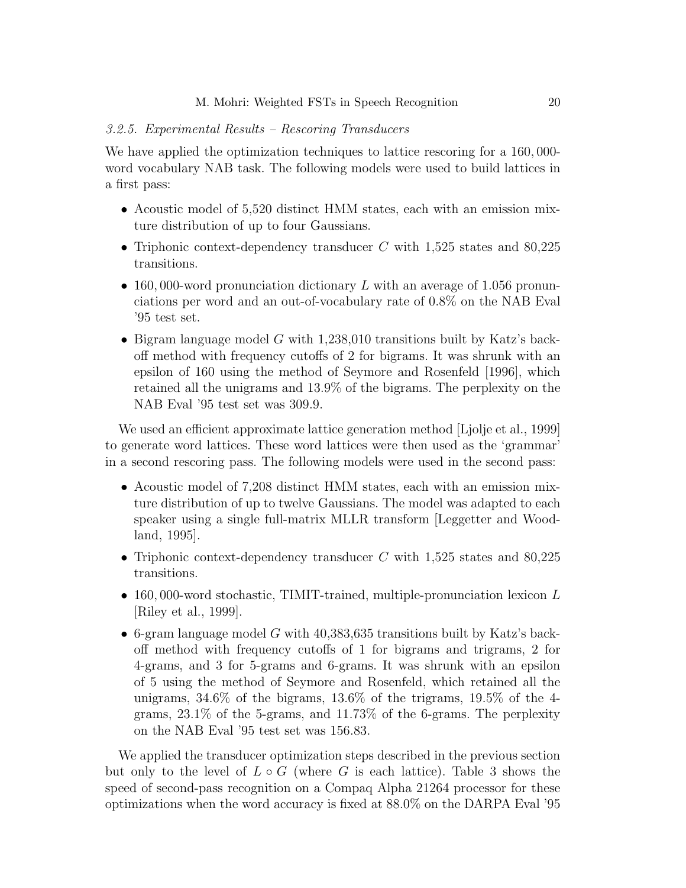#### 3.2.5. Experimental Results – Rescoring Transducers

We have applied the optimization techniques to lattice rescoring for a 160,000word vocabulary NAB task. The following models were used to build lattices in a first pass:

- Acoustic model of 5,520 distinct HMM states, each with an emission mixture distribution of up to four Gaussians.
- Triphonic context-dependency transducer C with 1,525 states and 80,225 transitions.
- 160, 000-word pronunciation dictionary L with an average of 1.056 pronunciations per word and an out-of-vocabulary rate of 0.8% on the NAB Eval '95 test set.
- Bigram language model G with 1,238,010 transitions built by Katz's backoff method with frequency cutoffs of 2 for bigrams. It was shrunk with an epsilon of 160 using the method of Seymore and Rosenfeld [1996], which retained all the unigrams and 13.9% of the bigrams. The perplexity on the NAB Eval '95 test set was 309.9.

We used an efficient approximate lattice generation method [Ljolje et al., 1999] to generate word lattices. These word lattices were then used as the 'grammar' in a second rescoring pass. The following models were used in the second pass:

- Acoustic model of 7,208 distinct HMM states, each with an emission mixture distribution of up to twelve Gaussians. The model was adapted to each speaker using a single full-matrix MLLR transform [Leggetter and Woodland, 1995].
- Triphonic context-dependency transducer C with  $1,525$  states and  $80,225$ transitions.
- 160, 000-word stochastic, TIMIT-trained, multiple-pronunciation lexicon  $L$ [Riley et al., 1999].
- 6-gram language model G with  $40,383,635$  transitions built by Katz's backoff method with frequency cutoffs of 1 for bigrams and trigrams, 2 for 4-grams, and 3 for 5-grams and 6-grams. It was shrunk with an epsilon of 5 using the method of Seymore and Rosenfeld, which retained all the unigrams,  $34.6\%$  of the bigrams,  $13.6\%$  of the trigrams,  $19.5\%$  of the 4grams, 23.1% of the 5-grams, and 11.73% of the 6-grams. The perplexity on the NAB Eval '95 test set was 156.83.

We applied the transducer optimization steps described in the previous section but only to the level of  $L \circ G$  (where G is each lattice). Table 3 shows the speed of second-pass recognition on a Compaq Alpha 21264 processor for these optimizations when the word accuracy is fixed at 88.0% on the DARPA Eval '95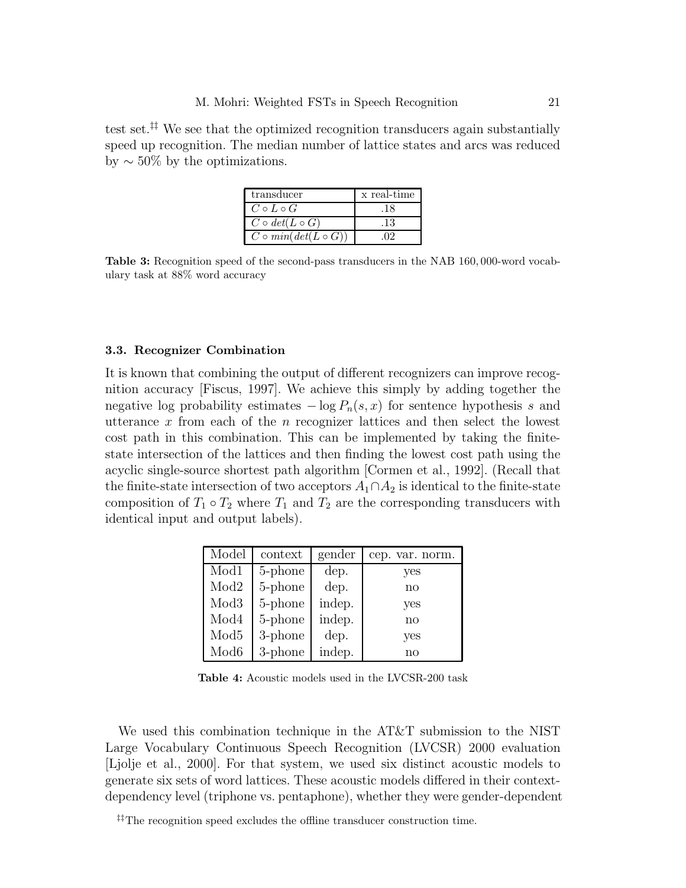test set.<sup>#‡</sup> We see that the optimized recognition transducers again substantially speed up recognition. The median number of lattice states and arcs was reduced by  $\sim$  50% by the optimizations.

| transducer                          | x real-time |
|-------------------------------------|-------------|
| $C \circ L \circ G$                 | 18          |
| $\overline{C} \circ det(L \circ G)$ | .13         |
| $C \circ min(det(L \circ G))$       |             |

Table 3: Recognition speed of the second-pass transducers in the NAB 160, 000-word vocabulary task at 88% word accuracy

#### 3.3. Recognizer Combination

It is known that combining the output of different recognizers can improve recognition accuracy [Fiscus, 1997]. We achieve this simply by adding together the negative log probability estimates  $-\log P_n(s, x)$  for sentence hypothesis s and utterance  $x$  from each of the  $n$  recognizer lattices and then select the lowest cost path in this combination. This can be implemented by taking the finitestate intersection of the lattices and then finding the lowest cost path using the acyclic single-source shortest path algorithm [Cormen et al., 1992]. (Recall that the finite-state intersection of two acceptors  $A_1 \cap A_2$  is identical to the finite-state composition of  $T_1 \circ T_2$  where  $T_1$  and  $T_2$  are the corresponding transducers with identical input and output labels).

| Model            | context | gender | cep. var. norm. |  |  |
|------------------|---------|--------|-----------------|--|--|
| Mod1             | 5-phone | dep.   | yes             |  |  |
| Mod <sub>2</sub> | 5-phone | dep.   | no              |  |  |
| Mod <sub>3</sub> | 5-phone | indep. | yes             |  |  |
| Mod4             | 5-phone | indep. | no              |  |  |
| Mod <sub>5</sub> | 3-phone | dep.   | yes             |  |  |
| Mod <sub>6</sub> | 3-phone | indep. | no              |  |  |

Table 4: Acoustic models used in the LVCSR-200 task

We used this combination technique in the AT&T submission to the NIST Large Vocabulary Continuous Speech Recognition (LVCSR) 2000 evaluation [Ljolje et al., 2000]. For that system, we used six distinct acoustic models to generate six sets of word lattices. These acoustic models differed in their contextdependency level (triphone vs. pentaphone), whether they were gender-dependent

<sup>‡‡</sup>The recognition speed excludes the offline transducer construction time.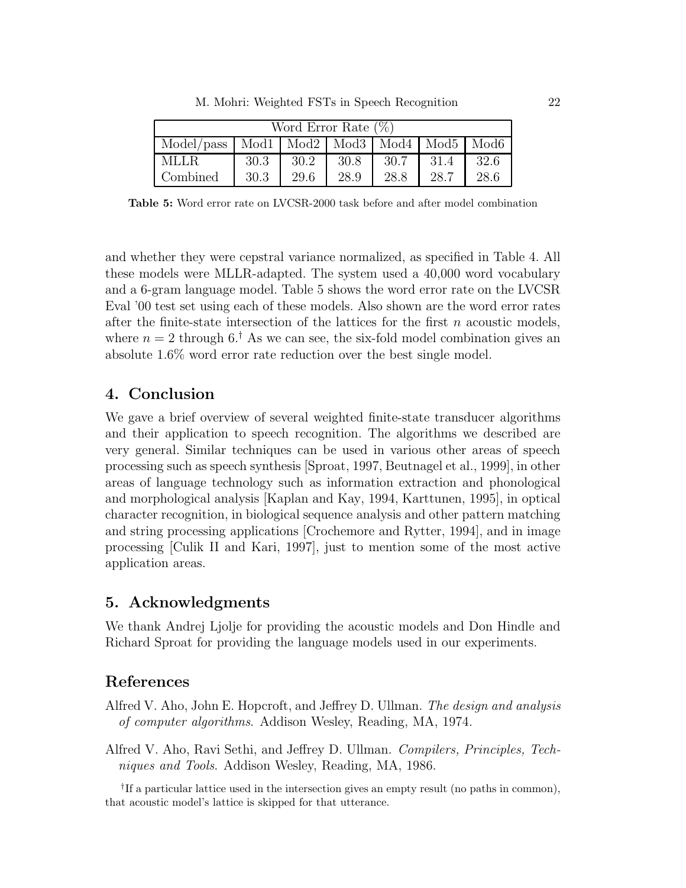| Word Error Rate $(\%)$                               |        |                 |      |      |      |      |  |
|------------------------------------------------------|--------|-----------------|------|------|------|------|--|
| Model/pass   Mod1   Mod2   Mod3   Mod4   Mod5   Mod6 |        |                 |      |      |      |      |  |
| -MLLR.                                               | $30.3$ | $30.2$   $30.8$ |      | 30.7 | 31.4 | 32.6 |  |
| Combined                                             | 30.3   | 29.6            | 28.9 | 28.8 | 28.7 | 28.6 |  |

Table 5: Word error rate on LVCSR-2000 task before and after model combination

and whether they were cepstral variance normalized, as specified in Table 4. All these models were MLLR-adapted. The system used a 40,000 word vocabulary and a 6-gram language model. Table 5 shows the word error rate on the LVCSR Eval '00 test set using each of these models. Also shown are the word error rates after the finite-state intersection of the lattices for the first  $n$  acoustic models, where  $n = 2$  through 6.<sup>†</sup> As we can see, the six-fold model combination gives an absolute 1.6% word error rate reduction over the best single model.

# 4. Conclusion

We gave a brief overview of several weighted finite-state transducer algorithms and their application to speech recognition. The algorithms we described are very general. Similar techniques can be used in various other areas of speech processing such as speech synthesis [Sproat, 1997, Beutnagel et al., 1999], in other areas of language technology such as information extraction and phonological and morphological analysis [Kaplan and Kay, 1994, Karttunen, 1995], in optical character recognition, in biological sequence analysis and other pattern matching and string processing applications [Crochemore and Rytter, 1994], and in image processing [Culik II and Kari, 1997], just to mention some of the most active application areas.

# 5. Acknowledgments

We thank Andrej Ljolje for providing the acoustic models and Don Hindle and Richard Sproat for providing the language models used in our experiments.

# References

Alfred V. Aho, John E. Hopcroft, and Jeffrey D. Ullman. The design and analysis of computer algorithms. Addison Wesley, Reading, MA, 1974.

Alfred V. Aho, Ravi Sethi, and Jeffrey D. Ullman. Compilers, Principles, Techniques and Tools. Addison Wesley, Reading, MA, 1986.

† If a particular lattice used in the intersection gives an empty result (no paths in common), that acoustic model's lattice is skipped for that utterance.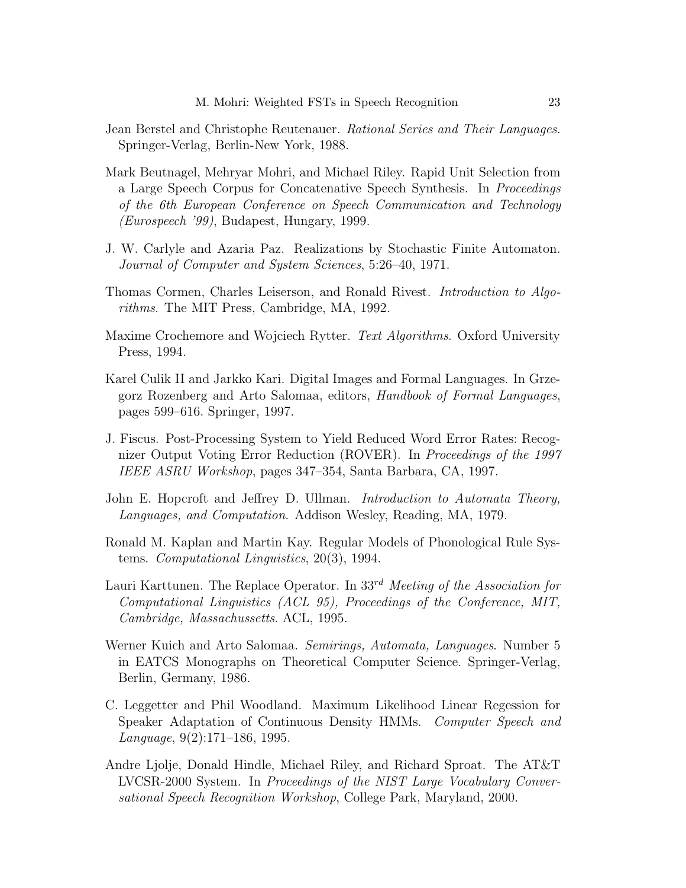- Jean Berstel and Christophe Reutenauer. Rational Series and Their Languages. Springer-Verlag, Berlin-New York, 1988.
- Mark Beutnagel, Mehryar Mohri, and Michael Riley. Rapid Unit Selection from a Large Speech Corpus for Concatenative Speech Synthesis. In Proceedings of the 6th European Conference on Speech Communication and Technology (Eurospeech '99), Budapest, Hungary, 1999.
- J. W. Carlyle and Azaria Paz. Realizations by Stochastic Finite Automaton. Journal of Computer and System Sciences, 5:26–40, 1971.
- Thomas Cormen, Charles Leiserson, and Ronald Rivest. Introduction to Algorithms. The MIT Press, Cambridge, MA, 1992.
- Maxime Crochemore and Wojciech Rytter. Text Algorithms. Oxford University Press, 1994.
- Karel Culik II and Jarkko Kari. Digital Images and Formal Languages. In Grzegorz Rozenberg and Arto Salomaa, editors, Handbook of Formal Languages, pages 599–616. Springer, 1997.
- J. Fiscus. Post-Processing System to Yield Reduced Word Error Rates: Recognizer Output Voting Error Reduction (ROVER). In *Proceedings of the 1997* IEEE ASRU Workshop, pages 347–354, Santa Barbara, CA, 1997.
- John E. Hopcroft and Jeffrey D. Ullman. Introduction to Automata Theory, Languages, and Computation. Addison Wesley, Reading, MA, 1979.
- Ronald M. Kaplan and Martin Kay. Regular Models of Phonological Rule Systems. Computational Linguistics, 20(3), 1994.
- Lauri Karttunen. The Replace Operator. In  $33^{rd}$  Meeting of the Association for Computational Linguistics (ACL 95), Proceedings of the Conference, MIT, Cambridge, Massachussetts. ACL, 1995.
- Werner Kuich and Arto Salomaa. Semirings, Automata, Languages. Number 5 in EATCS Monographs on Theoretical Computer Science. Springer-Verlag, Berlin, Germany, 1986.
- C. Leggetter and Phil Woodland. Maximum Likelihood Linear Regession for Speaker Adaptation of Continuous Density HMMs. Computer Speech and Language, 9(2):171–186, 1995.
- Andre Ljolje, Donald Hindle, Michael Riley, and Richard Sproat. The AT&T LVCSR-2000 System. In Proceedings of the NIST Large Vocabulary Conversational Speech Recognition Workshop, College Park, Maryland, 2000.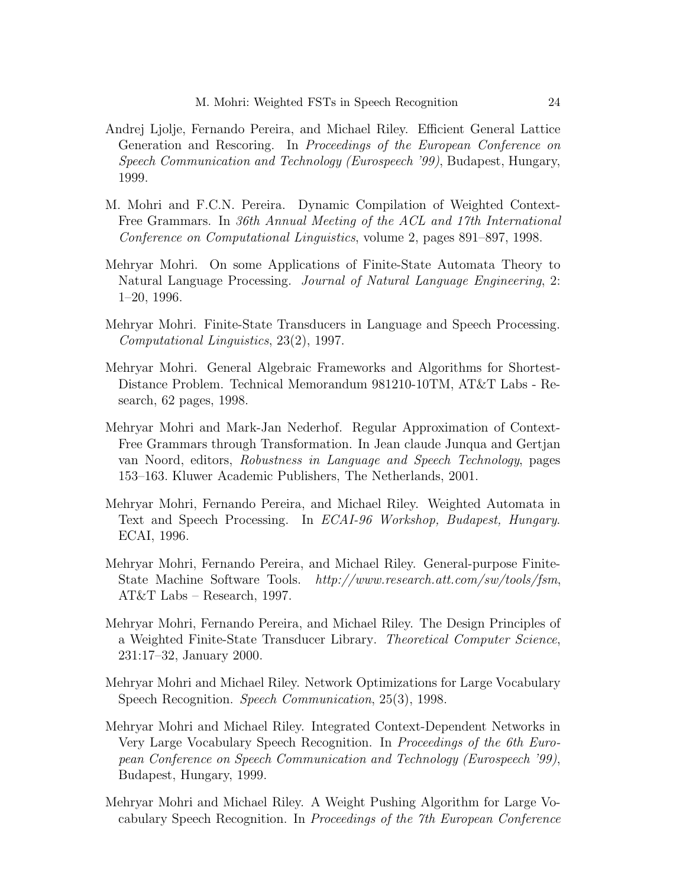- Andrej Ljolje, Fernando Pereira, and Michael Riley. Efficient General Lattice Generation and Rescoring. In *Proceedings of the European Conference on* Speech Communication and Technology (Eurospeech '99), Budapest, Hungary, 1999.
- M. Mohri and F.C.N. Pereira. Dynamic Compilation of Weighted Context-Free Grammars. In 36th Annual Meeting of the ACL and 17th International Conference on Computational Linguistics, volume 2, pages 891–897, 1998.
- Mehryar Mohri. On some Applications of Finite-State Automata Theory to Natural Language Processing. Journal of Natural Language Engineering, 2: 1–20, 1996.
- Mehryar Mohri. Finite-State Transducers in Language and Speech Processing. Computational Linguistics, 23(2), 1997.
- Mehryar Mohri. General Algebraic Frameworks and Algorithms for Shortest-Distance Problem. Technical Memorandum 981210-10TM, AT&T Labs - Research, 62 pages, 1998.
- Mehryar Mohri and Mark-Jan Nederhof. Regular Approximation of Context-Free Grammars through Transformation. In Jean claude Junqua and Gertjan van Noord, editors, Robustness in Language and Speech Technology, pages 153–163. Kluwer Academic Publishers, The Netherlands, 2001.
- Mehryar Mohri, Fernando Pereira, and Michael Riley. Weighted Automata in Text and Speech Processing. In ECAI-96 Workshop, Budapest, Hungary. ECAI, 1996.
- Mehryar Mohri, Fernando Pereira, and Michael Riley. General-purpose Finite-State Machine Software Tools. http://www.research.att.com/sw/tools/fsm, AT&T Labs – Research, 1997.
- Mehryar Mohri, Fernando Pereira, and Michael Riley. The Design Principles of a Weighted Finite-State Transducer Library. Theoretical Computer Science, 231:17–32, January 2000.
- Mehryar Mohri and Michael Riley. Network Optimizations for Large Vocabulary Speech Recognition. *Speech Communication*, 25(3), 1998.
- Mehryar Mohri and Michael Riley. Integrated Context-Dependent Networks in Very Large Vocabulary Speech Recognition. In Proceedings of the 6th European Conference on Speech Communication and Technology (Eurospeech '99), Budapest, Hungary, 1999.
- Mehryar Mohri and Michael Riley. A Weight Pushing Algorithm for Large Vocabulary Speech Recognition. In Proceedings of the 7th European Conference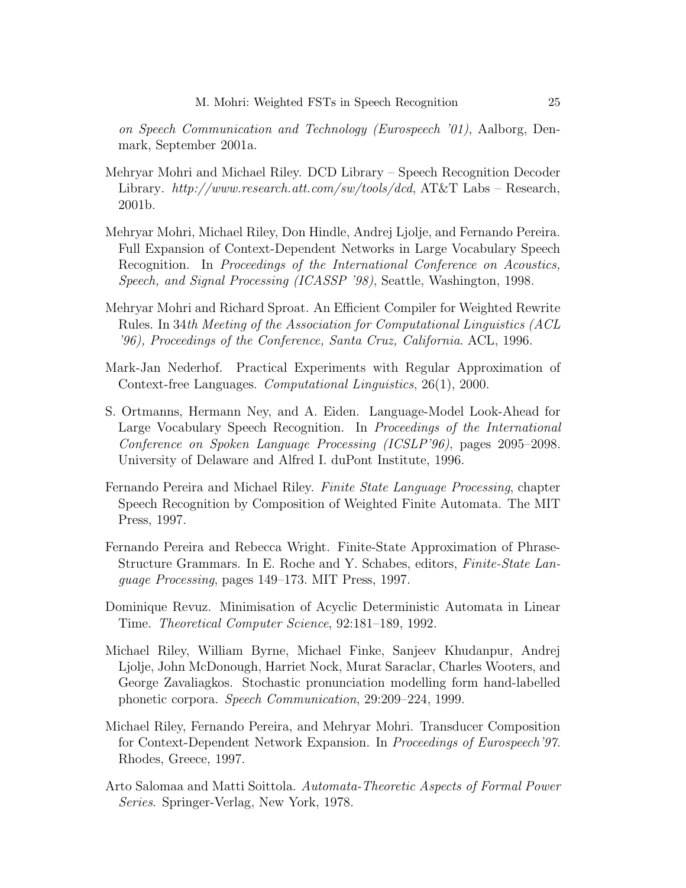on Speech Communication and Technology (Eurospeech '01), Aalborg, Denmark, September 2001a.

- Mehryar Mohri and Michael Riley. DCD Library Speech Recognition Decoder Library. http://www.research.att.com/sw/tools/dcd, AT&T Labs – Research, 2001b.
- Mehryar Mohri, Michael Riley, Don Hindle, Andrej Ljolje, and Fernando Pereira. Full Expansion of Context-Dependent Networks in Large Vocabulary Speech Recognition. In Proceedings of the International Conference on Acoustics, Speech, and Signal Processing (ICASSP '98), Seattle, Washington, 1998.
- Mehryar Mohri and Richard Sproat. An Efficient Compiler for Weighted Rewrite Rules. In 34th Meeting of the Association for Computational Linguistics (ACL '96), Proceedings of the Conference, Santa Cruz, California. ACL, 1996.
- Mark-Jan Nederhof. Practical Experiments with Regular Approximation of Context-free Languages. Computational Linguistics, 26(1), 2000.
- S. Ortmanns, Hermann Ney, and A. Eiden. Language-Model Look-Ahead for Large Vocabulary Speech Recognition. In Proceedings of the International Conference on Spoken Language Processing (ICSLP'96), pages 2095–2098. University of Delaware and Alfred I. duPont Institute, 1996.
- Fernando Pereira and Michael Riley. Finite State Language Processing, chapter Speech Recognition by Composition of Weighted Finite Automata. The MIT Press, 1997.
- Fernando Pereira and Rebecca Wright. Finite-State Approximation of Phrase-Structure Grammars. In E. Roche and Y. Schabes, editors, Finite-State Language Processing, pages 149–173. MIT Press, 1997.
- Dominique Revuz. Minimisation of Acyclic Deterministic Automata in Linear Time. Theoretical Computer Science, 92:181–189, 1992.
- Michael Riley, William Byrne, Michael Finke, Sanjeev Khudanpur, Andrej Ljolje, John McDonough, Harriet Nock, Murat Saraclar, Charles Wooters, and George Zavaliagkos. Stochastic pronunciation modelling form hand-labelled phonetic corpora. Speech Communication, 29:209–224, 1999.
- Michael Riley, Fernando Pereira, and Mehryar Mohri. Transducer Composition for Context-Dependent Network Expansion. In Proceedings of Eurospeech'97. Rhodes, Greece, 1997.
- Arto Salomaa and Matti Soittola. Automata-Theoretic Aspects of Formal Power Series. Springer-Verlag, New York, 1978.